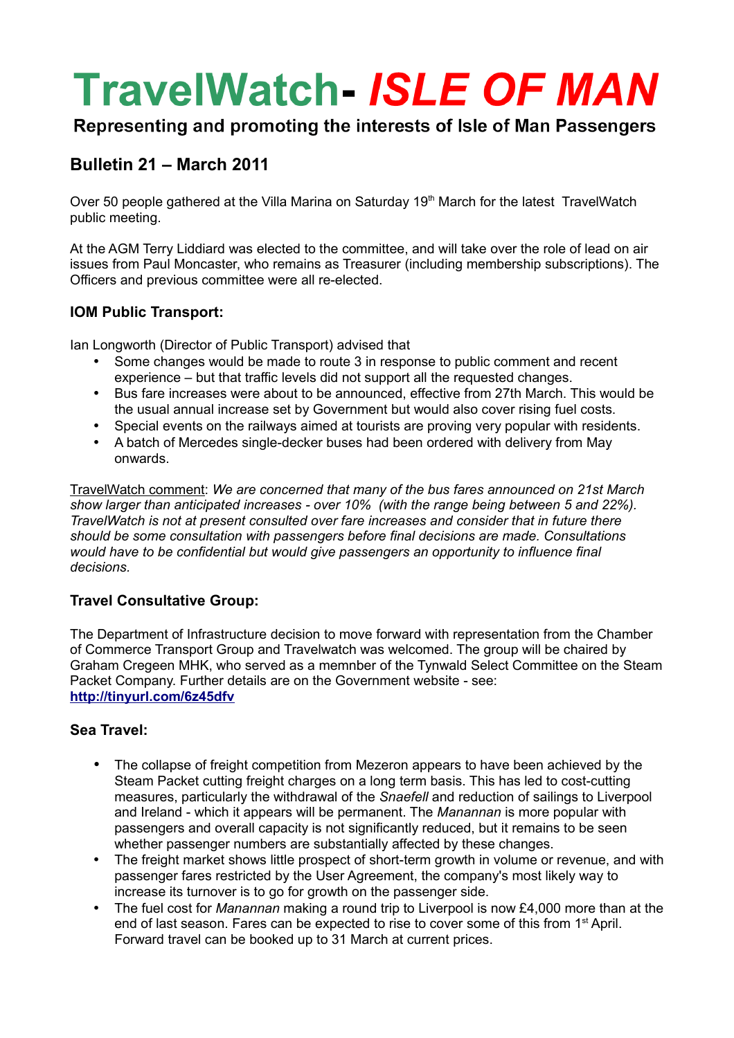# **TravelWatch- ISLE OF MAN**

# Representing and promoting the interests of Isle of Man Passengers

# **Bulletin 21 – March 2011**

Over 50 people gathered at the Villa Marina on Saturday 19<sup>th</sup> March for the latest TravelWatch public meeting.

At the AGM Terry Liddiard was elected to the committee, and will take over the role of lead on air issues from Paul Moncaster, who remains as Treasurer (including membership subscriptions). The Officers and previous committee were all re-elected.

## **IOM Public Transport:**

Ian Longworth (Director of Public Transport) advised that

- Some changes would be made to route 3 in response to public comment and recent experience – but that traffic levels did not support all the requested changes.
- Bus fare increases were about to be announced, effective from 27th March. This would be the usual annual increase set by Government but would also cover rising fuel costs.
- Special events on the railways aimed at tourists are proving very popular with residents.
- A batch of Mercedes single-decker buses had been ordered with delivery from May onwards.

TravelWatch comment: *We are concerned that many of the bus fares announced on 21st March show larger than anticipated increases - over 10% (with the range being between 5 and 22%). TravelWatch is not at present consulted over fare increases and consider that in future there should be some consultation with passengers before final decisions are made. Consultations would have to be confidential but would give passengers an opportunity to influence final decisions.*

## **Travel Consultative Group:**

The Department of Infrastructure decision to move forward with representation from the Chamber of Commerce Transport Group and Travelwatch was welcomed. The group will be chaired by Graham Cregeen MHK, who served as a memnber of the Tynwald Select Committee on the Steam Packet Company. Further details are on the Government website - see: **<http://tinyurl.com/6z45dfv>**

## **Sea Travel:**

- The collapse of freight competition from Mezeron appears to have been achieved by the Steam Packet cutting freight charges on a long term basis. This has led to cost-cutting measures, particularly the withdrawal of the *Snaefell* and reduction of sailings to Liverpool and Ireland - which it appears will be permanent. The *Manannan* is more popular with passengers and overall capacity is not significantly reduced, but it remains to be seen whether passenger numbers are substantially affected by these changes.
- The freight market shows little prospect of short-term growth in volume or revenue, and with passenger fares restricted by the User Agreement, the company's most likely way to increase its turnover is to go for growth on the passenger side.
- The fuel cost for *Manannan* making a round trip to Liverpool is now £4,000 more than at the end of last season. Fares can be expected to rise to cover some of this from 1<sup>st</sup> April. Forward travel can be booked up to 31 March at current prices.